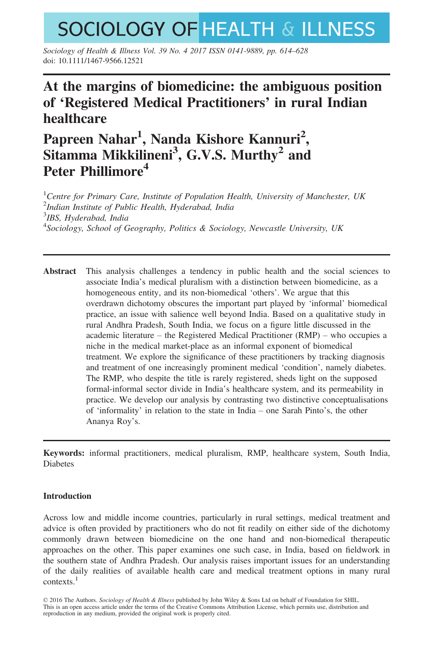# **SOCIOLOGY OF HEALTH & ILLNESS**

Sociology of Health & Illness Vol. 39 No. 4 2017 ISSN 0141-9889, pp. 614–628 doi: 10.1111/1467-9566.12521

# At the margins of biomedicine: the ambiguous position of 'Registered Medical Practitioners' in rural Indian healthcare

# Papreen Nahar<sup>1</sup>, Nanda Kishore Kannuri<sup>2</sup>, Sitamma Mikkilineni<sup>3</sup>, G.V.S. Murthy<sup>2</sup> and Peter Phillimore<sup>4</sup>

<sup>1</sup>Centre for Primary Care, Institute of Population Health, University of Manchester, UK 2 Indian Institute of Public Health, Hyderabad, India <sup>3</sup>IBS, Hyderabad, India <sup>4</sup> Sociology, School of Geography, Politics & Sociology, Newcastle University, UK

Abstract This analysis challenges a tendency in public health and the social sciences to associate India's medical pluralism with a distinction between biomedicine, as a homogeneous entity, and its non-biomedical 'others'. We argue that this overdrawn dichotomy obscures the important part played by 'informal' biomedical practice, an issue with salience well beyond India. Based on a qualitative study in rural Andhra Pradesh, South India, we focus on a figure little discussed in the academic literature – the Registered Medical Practitioner (RMP) – who occupies a niche in the medical market-place as an informal exponent of biomedical treatment. We explore the significance of these practitioners by tracking diagnosis and treatment of one increasingly prominent medical 'condition', namely diabetes. The RMP, who despite the title is rarely registered, sheds light on the supposed formal-informal sector divide in India's healthcare system, and its permeability in practice. We develop our analysis by contrasting two distinctive conceptualisations of 'informality' in relation to the state in India – one Sarah Pinto's, the other Ananya Roy's.

Keywords: informal practitioners, medical pluralism, RMP, healthcare system, South India, Diabetes

## Introduction

Across low and middle income countries, particularly in rural settings, medical treatment and advice is often provided by practitioners who do not fit readily on either side of the dichotomy commonly drawn between biomedicine on the one hand and non-biomedical therapeutic approaches on the other. This paper examines one such case, in India, based on fieldwork in the southern state of Andhra Pradesh. Our analysis raises important issues for an understanding of the daily realities of available health care and medical treatment options in many rural contexts.<sup>1</sup>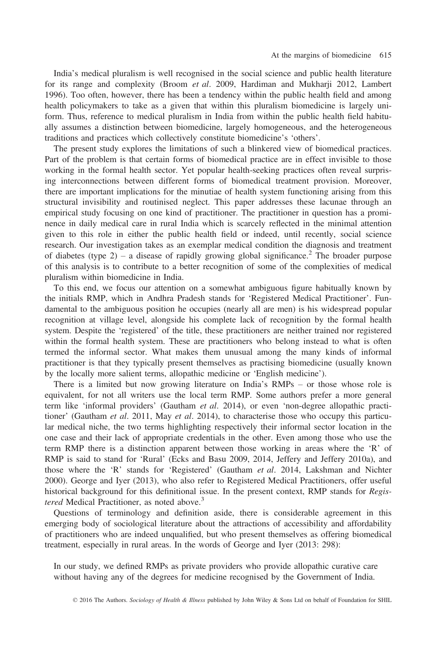India's medical pluralism is well recognised in the social science and public health literature for its range and complexity (Broom et al. 2009, Hardiman and Mukharji 2012, Lambert 1996). Too often, however, there has been a tendency within the public health field and among health policymakers to take as a given that within this pluralism biomedicine is largely uniform. Thus, reference to medical pluralism in India from within the public health field habitually assumes a distinction between biomedicine, largely homogeneous, and the heterogeneous traditions and practices which collectively constitute biomedicine's 'others'.

The present study explores the limitations of such a blinkered view of biomedical practices. Part of the problem is that certain forms of biomedical practice are in effect invisible to those working in the formal health sector. Yet popular health-seeking practices often reveal surprising interconnections between different forms of biomedical treatment provision. Moreover, there are important implications for the minutiae of health system functioning arising from this structural invisibility and routinised neglect. This paper addresses these lacunae through an empirical study focusing on one kind of practitioner. The practitioner in question has a prominence in daily medical care in rural India which is scarcely reflected in the minimal attention given to this role in either the public health field or indeed, until recently, social science research. Our investigation takes as an exemplar medical condition the diagnosis and treatment of diabetes (type 2) – a disease of rapidly growing global significance.<sup>2</sup> The broader purpose of this analysis is to contribute to a better recognition of some of the complexities of medical pluralism within biomedicine in India.

To this end, we focus our attention on a somewhat ambiguous figure habitually known by the initials RMP, which in Andhra Pradesh stands for 'Registered Medical Practitioner'. Fundamental to the ambiguous position he occupies (nearly all are men) is his widespread popular recognition at village level, alongside his complete lack of recognition by the formal health system. Despite the 'registered' of the title, these practitioners are neither trained nor registered within the formal health system. These are practitioners who belong instead to what is often termed the informal sector. What makes them unusual among the many kinds of informal practitioner is that they typically present themselves as practising biomedicine (usually known by the locally more salient terms, allopathic medicine or 'English medicine').

There is a limited but now growing literature on India's RMPs – or those whose role is equivalent, for not all writers use the local term RMP. Some authors prefer a more general term like 'informal providers' (Gautham *et al.* 2014), or even 'non-degree allopathic practitioner' (Gautham *et al.* 2011, May *et al.* 2014), to characterise those who occupy this particular medical niche, the two terms highlighting respectively their informal sector location in the one case and their lack of appropriate credentials in the other. Even among those who use the term RMP there is a distinction apparent between those working in areas where the 'R' of RMP is said to stand for 'Rural' (Ecks and Basu 2009, 2014, Jeffery and Jeffery 2010a), and those where the 'R' stands for 'Registered' (Gautham et al. 2014, Lakshman and Nichter 2000). George and Iyer (2013), who also refer to Registered Medical Practitioners, offer useful historical background for this definitional issue. In the present context, RMP stands for Registered Medical Practitioner, as noted above.<sup>3</sup>

Questions of terminology and definition aside, there is considerable agreement in this emerging body of sociological literature about the attractions of accessibility and affordability of practitioners who are indeed unqualified, but who present themselves as offering biomedical treatment, especially in rural areas. In the words of George and Iyer (2013: 298):

In our study, we defined RMPs as private providers who provide allopathic curative care without having any of the degrees for medicine recognised by the Government of India.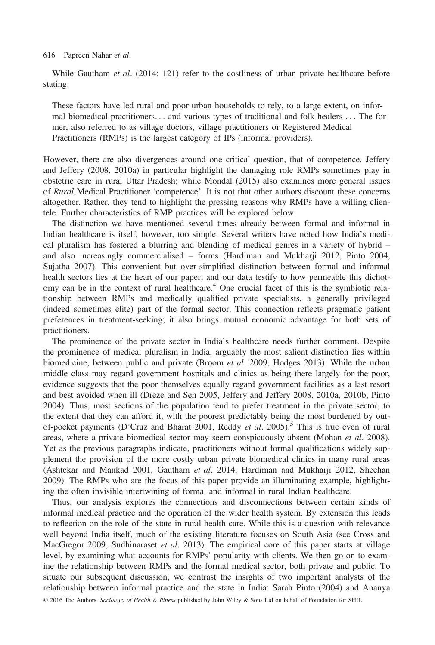#### 616 Papreen Nahar et al.

While Gautham et al. (2014: 121) refer to the costliness of urban private healthcare before stating:

These factors have led rural and poor urban households to rely, to a large extent, on informal biomedical practitioners... and various types of traditional and folk healers ... The former, also referred to as village doctors, village practitioners or Registered Medical Practitioners (RMPs) is the largest category of IPs (informal providers).

However, there are also divergences around one critical question, that of competence. Jeffery and Jeffery (2008, 2010a) in particular highlight the damaging role RMPs sometimes play in obstetric care in rural Uttar Pradesh; while Mondal (2015) also examines more general issues of Rural Medical Practitioner 'competence'. It is not that other authors discount these concerns altogether. Rather, they tend to highlight the pressing reasons why RMPs have a willing clientele. Further characteristics of RMP practices will be explored below.

The distinction we have mentioned several times already between formal and informal in Indian healthcare is itself, however, too simple. Several writers have noted how India's medical pluralism has fostered a blurring and blending of medical genres in a variety of hybrid – and also increasingly commercialised – forms (Hardiman and Mukharji 2012, Pinto 2004, Sujatha 2007). This convenient but over-simplified distinction between formal and informal health sectors lies at the heart of our paper; and our data testify to how permeable this dichotomy can be in the context of rural healthcare.<sup>4</sup> One crucial facet of this is the symbiotic relationship between RMPs and medically qualified private specialists, a generally privileged (indeed sometimes elite) part of the formal sector. This connection reflects pragmatic patient preferences in treatment-seeking; it also brings mutual economic advantage for both sets of practitioners.

The prominence of the private sector in India's healthcare needs further comment. Despite the prominence of medical pluralism in India, arguably the most salient distinction lies within biomedicine, between public and private (Broom et al. 2009, Hodges 2013). While the urban middle class may regard government hospitals and clinics as being there largely for the poor, evidence suggests that the poor themselves equally regard government facilities as a last resort and best avoided when ill (Dreze and Sen 2005, Jeffery and Jeffery 2008, 2010a, 2010b, Pinto 2004). Thus, most sections of the population tend to prefer treatment in the private sector, to the extent that they can afford it, with the poorest predictably being the most burdened by outof-pocket payments (D'Cruz and Bharat 2001, Reddy *et al.* 2005).<sup>5</sup> This is true even of rural areas, where a private biomedical sector may seem conspicuously absent (Mohan *et al.* 2008). Yet as the previous paragraphs indicate, practitioners without formal qualifications widely supplement the provision of the more costly urban private biomedical clinics in many rural areas (Ashtekar and Mankad 2001, Gautham et al. 2014, Hardiman and Mukharji 2012, Sheehan 2009). The RMPs who are the focus of this paper provide an illuminating example, highlighting the often invisible intertwining of formal and informal in rural Indian healthcare.

Thus, our analysis explores the connections and disconnections between certain kinds of informal medical practice and the operation of the wider health system. By extension this leads to reflection on the role of the state in rural health care. While this is a question with relevance well beyond India itself, much of the existing literature focuses on South Asia (see Cross and MacGregor 2009, Sudhinaraset et al. 2013). The empirical core of this paper starts at village level, by examining what accounts for RMPs' popularity with clients. We then go on to examine the relationship between RMPs and the formal medical sector, both private and public. To situate our subsequent discussion, we contrast the insights of two important analysts of the relationship between informal practice and the state in India: Sarah Pinto (2004) and Ananya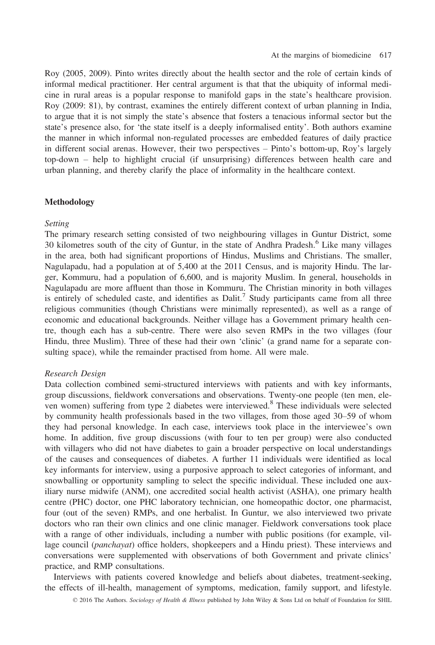Roy (2005, 2009). Pinto writes directly about the health sector and the role of certain kinds of informal medical practitioner. Her central argument is that that the ubiquity of informal medicine in rural areas is a popular response to manifold gaps in the state's healthcare provision. Roy (2009: 81), by contrast, examines the entirely different context of urban planning in India, to argue that it is not simply the state's absence that fosters a tenacious informal sector but the state's presence also, for 'the state itself is a deeply informalised entity'. Both authors examine the manner in which informal non-regulated processes are embedded features of daily practice in different social arenas. However, their two perspectives – Pinto's bottom-up, Roy's largely top-down – help to highlight crucial (if unsurprising) differences between health care and urban planning, and thereby clarify the place of informality in the healthcare context.

#### Methodology

#### Setting

The primary research setting consisted of two neighbouring villages in Guntur District, some 30 kilometres south of the city of Guntur, in the state of Andhra Pradesh. $6$  Like many villages in the area, both had significant proportions of Hindus, Muslims and Christians. The smaller, Nagulapadu, had a population at of 5,400 at the 2011 Census, and is majority Hindu. The larger, Kommuru, had a population of 6,600, and is majority Muslim. In general, households in Nagulapadu are more affluent than those in Kommuru. The Christian minority in both villages is entirely of scheduled caste, and identifies as  $Dalit.^7$  Study participants came from all three religious communities (though Christians were minimally represented), as well as a range of economic and educational backgrounds. Neither village has a Government primary health centre, though each has a sub-centre. There were also seven RMPs in the two villages (four Hindu, three Muslim). Three of these had their own 'clinic' (a grand name for a separate consulting space), while the remainder practised from home. All were male.

#### Research Design

Data collection combined semi-structured interviews with patients and with key informants, group discussions, fieldwork conversations and observations. Twenty-one people (ten men, eleven women) suffering from type 2 diabetes were interviewed.<sup>8</sup> These individuals were selected by community health professionals based in the two villages, from those aged 30–59 of whom they had personal knowledge. In each case, interviews took place in the interviewee's own home. In addition, five group discussions (with four to ten per group) were also conducted with villagers who did not have diabetes to gain a broader perspective on local understandings of the causes and consequences of diabetes. A further 11 individuals were identified as local key informants for interview, using a purposive approach to select categories of informant, and snowballing or opportunity sampling to select the specific individual. These included one auxiliary nurse midwife (ANM), one accredited social health activist (ASHA), one primary health centre (PHC) doctor, one PHC laboratory technician, one homeopathic doctor, one pharmacist, four (out of the seven) RMPs, and one herbalist. In Guntur, we also interviewed two private doctors who ran their own clinics and one clinic manager. Fieldwork conversations took place with a range of other individuals, including a number with public positions (for example, village council (panchayat) office holders, shopkeepers and a Hindu priest). These interviews and conversations were supplemented with observations of both Government and private clinics' practice, and RMP consultations.

Interviews with patients covered knowledge and beliefs about diabetes, treatment-seeking, the effects of ill-health, management of symptoms, medication, family support, and lifestyle.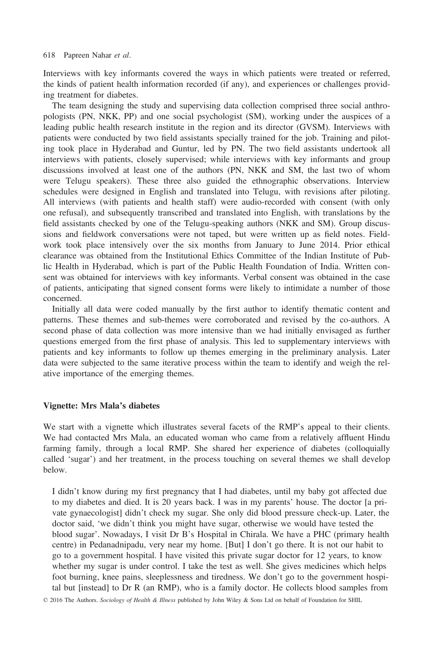Interviews with key informants covered the ways in which patients were treated or referred, the kinds of patient health information recorded (if any), and experiences or challenges providing treatment for diabetes.

The team designing the study and supervising data collection comprised three social anthropologists (PN, NKK, PP) and one social psychologist (SM), working under the auspices of a leading public health research institute in the region and its director (GVSM). Interviews with patients were conducted by two field assistants specially trained for the job. Training and piloting took place in Hyderabad and Guntur, led by PN. The two field assistants undertook all interviews with patients, closely supervised; while interviews with key informants and group discussions involved at least one of the authors (PN, NKK and SM, the last two of whom were Telugu speakers). These three also guided the ethnographic observations. Interview schedules were designed in English and translated into Telugu, with revisions after piloting. All interviews (with patients and health staff) were audio-recorded with consent (with only one refusal), and subsequently transcribed and translated into English, with translations by the field assistants checked by one of the Telugu-speaking authors (NKK and SM). Group discussions and fieldwork conversations were not taped, but were written up as field notes. Fieldwork took place intensively over the six months from January to June 2014. Prior ethical clearance was obtained from the Institutional Ethics Committee of the Indian Institute of Public Health in Hyderabad, which is part of the Public Health Foundation of India. Written consent was obtained for interviews with key informants. Verbal consent was obtained in the case of patients, anticipating that signed consent forms were likely to intimidate a number of those concerned.

Initially all data were coded manually by the first author to identify thematic content and patterns. These themes and sub-themes were corroborated and revised by the co-authors. A second phase of data collection was more intensive than we had initially envisaged as further questions emerged from the first phase of analysis. This led to supplementary interviews with patients and key informants to follow up themes emerging in the preliminary analysis. Later data were subjected to the same iterative process within the team to identify and weigh the relative importance of the emerging themes.

#### Vignette: Mrs Mala's diabetes

We start with a vignette which illustrates several facets of the RMP's appeal to their clients. We had contacted Mrs Mala, an educated woman who came from a relatively affluent Hindu farming family, through a local RMP. She shared her experience of diabetes (colloquially called 'sugar') and her treatment, in the process touching on several themes we shall develop below.

I didn't know during my first pregnancy that I had diabetes, until my baby got affected due to my diabetes and died. It is 20 years back. I was in my parents' house. The doctor [a private gynaecologist] didn't check my sugar. She only did blood pressure check-up. Later, the doctor said, 'we didn't think you might have sugar, otherwise we would have tested the blood sugar'. Nowadays, I visit Dr B's Hospital in Chirala. We have a PHC (primary health centre) in Pedanadnipadu, very near my home. [But] I don't go there. It is not our habit to go to a government hospital. I have visited this private sugar doctor for 12 years, to know whether my sugar is under control. I take the test as well. She gives medicines which helps foot burning, knee pains, sleeplessness and tiredness. We don't go to the government hospital but [instead] to Dr R (an RMP), who is a family doctor. He collects blood samples from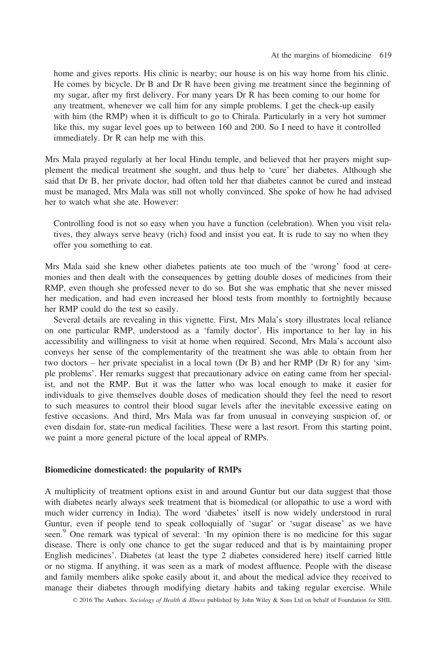home and gives reports. His clinic is nearby; our house is on his way home from his clinic. He comes by bicycle. Dr B and Dr R have been giving me treatment since the beginning of my sugar, after my first delivery. For many years Dr R has been coming to our home for any treatment, whenever we call him for any simple problems. I get the check-up easily with him (the RMP) when it is difficult to go to Chirala. Particularly in a very hot summer like this, my sugar level goes up to between 160 and 200. So I need to have it controlled immediately. Dr R can help me with this.

Mrs Mala prayed regularly at her local Hindu temple, and believed that her prayers might supplement the medical treatment she sought, and thus help to 'cure' her diabetes. Although she said that Dr B, her private doctor, had often told her that diabetes cannot be cured and instead must be managed, Mrs Mala was still not wholly convinced. She spoke of how he had advised her to watch what she ate. However:

Controlling food is not so easy when you have a function (celebration). When you visit relatives, they always serve heavy (rich) food and insist you eat. It is rude to say no when they offer you something to eat.

Mrs Mala said she knew other diabetes patients ate too much of the 'wrong' food at ceremonies and then dealt with the consequences by getting double doses of medicines from their RMP, even though she professed never to do so. But she was emphatic that she never missed her medication, and had even increased her blood tests from monthly to fortnightly because her RMP could do the test so easily.

Several details are revealing in this vignette. First, Mrs Mala's story illustrates local reliance on one particular RMP, understood as a 'family doctor'. His importance to her lay in his accessibility and willingness to visit at home when required. Second, Mrs Mala's account also conveys her sense of the complementarity of the treatment she was able to obtain from her two doctors – her private specialist in a local town (Dr B) and her RMP (Dr R) for any 'simple problems'. Her remarks suggest that precautionary advice on eating came from her specialist, and not the RMP. But it was the latter who was local enough to make it easier for individuals to give themselves double doses of medication should they feel the need to resort to such measures to control their blood sugar levels after the inevitable excessive eating on festive occasions. And third, Mrs Mala was far from unusual in conveying suspicion of, or even disdain for, state-run medical facilities. These were a last resort. From this starting point, we paint a more general picture of the local appeal of RMPs.

#### Biomedicine domesticated: the popularity of RMPs

A multiplicity of treatment options exist in and around Guntur but our data suggest that those with diabetes nearly always seek treatment that is biomedical (or allopathic to use a word with much wider currency in India). The word 'diabetes' itself is now widely understood in rural Guntur, even if people tend to speak colloquially of 'sugar' or 'sugar disease' as we have seen.<sup>9</sup> One remark was typical of several: 'In my opinion there is no medicine for this sugar disease. There is only one chance to get the sugar reduced and that is by maintaining proper English medicines'. Diabetes (at least the type 2 diabetes considered here) itself carried little or no stigma. If anything, it was seen as a mark of modest affluence. People with the disease and family members alike spoke easily about it, and about the medical advice they received to manage their diabetes through modifying dietary habits and taking regular exercise. While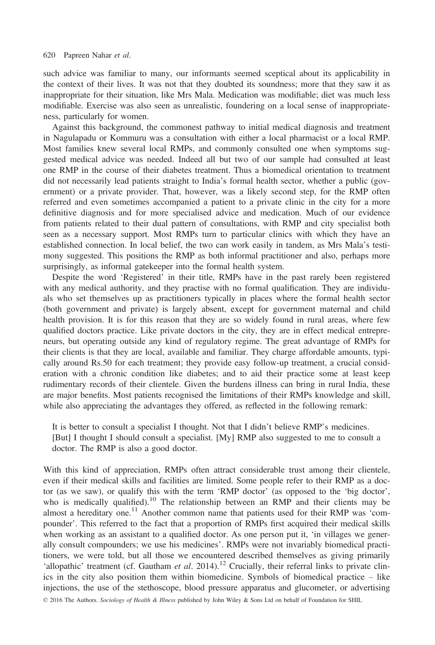such advice was familiar to many, our informants seemed sceptical about its applicability in the context of their lives. It was not that they doubted its soundness; more that they saw it as inappropriate for their situation, like Mrs Mala. Medication was modifiable; diet was much less modifiable. Exercise was also seen as unrealistic, foundering on a local sense of inappropriateness, particularly for women.

Against this background, the commonest pathway to initial medical diagnosis and treatment in Nagulapadu or Kommuru was a consultation with either a local pharmacist or a local RMP. Most families knew several local RMPs, and commonly consulted one when symptoms suggested medical advice was needed. Indeed all but two of our sample had consulted at least one RMP in the course of their diabetes treatment. Thus a biomedical orientation to treatment did not necessarily lead patients straight to India's formal health sector, whether a public (government) or a private provider. That, however, was a likely second step, for the RMP often referred and even sometimes accompanied a patient to a private clinic in the city for a more definitive diagnosis and for more specialised advice and medication. Much of our evidence from patients related to their dual pattern of consultations, with RMP and city specialist both seen as a necessary support. Most RMPs turn to particular clinics with which they have an established connection. In local belief, the two can work easily in tandem, as Mrs Mala's testimony suggested. This positions the RMP as both informal practitioner and also, perhaps more surprisingly, as informal gatekeeper into the formal health system.

Despite the word 'Registered' in their title, RMPs have in the past rarely been registered with any medical authority, and they practise with no formal qualification. They are individuals who set themselves up as practitioners typically in places where the formal health sector (both government and private) is largely absent, except for government maternal and child health provision. It is for this reason that they are so widely found in rural areas, where few qualified doctors practice. Like private doctors in the city, they are in effect medical entrepreneurs, but operating outside any kind of regulatory regime. The great advantage of RMPs for their clients is that they are local, available and familiar. They charge affordable amounts, typically around Rs.50 for each treatment; they provide easy follow-up treatment, a crucial consideration with a chronic condition like diabetes; and to aid their practice some at least keep rudimentary records of their clientele. Given the burdens illness can bring in rural India, these are major benefits. Most patients recognised the limitations of their RMPs knowledge and skill, while also appreciating the advantages they offered, as reflected in the following remark:

It is better to consult a specialist I thought. Not that I didn't believe RMP's medicines. [But] I thought I should consult a specialist. [My] RMP also suggested to me to consult a doctor. The RMP is also a good doctor.

With this kind of appreciation, RMPs often attract considerable trust among their clientele, even if their medical skills and facilities are limited. Some people refer to their RMP as a doctor (as we saw), or qualify this with the term 'RMP doctor' (as opposed to the 'big doctor', who is medically qualified).<sup>10</sup> The relationship between an RMP and their clients may be almost a hereditary one.<sup>11</sup> Another common name that patients used for their RMP was 'compounder'. This referred to the fact that a proportion of RMPs first acquired their medical skills when working as an assistant to a qualified doctor. As one person put it, 'in villages we generally consult compounders; we use his medicines'. RMPs were not invariably biomedical practitioners, we were told, but all those we encountered described themselves as giving primarily 'allopathic' treatment (cf. Gautham *et al.* 2014).<sup>12</sup> Crucially, their referral links to private clinics in the city also position them within biomedicine. Symbols of biomedical practice – like injections, the use of the stethoscope, blood pressure apparatus and glucometer, or advertising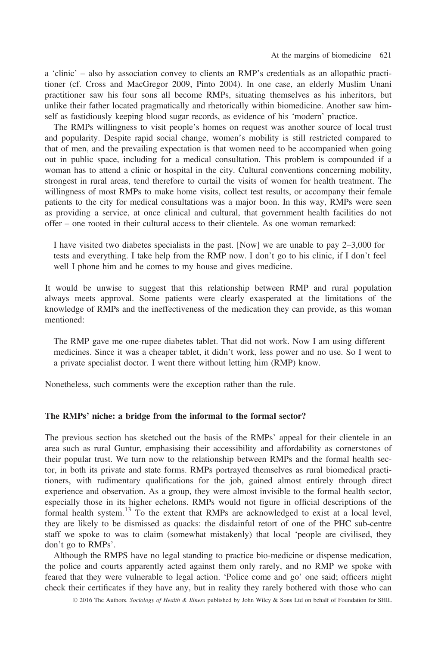a 'clinic' – also by association convey to clients an RMP's credentials as an allopathic practitioner (cf. Cross and MacGregor 2009, Pinto 2004). In one case, an elderly Muslim Unani practitioner saw his four sons all become RMPs, situating themselves as his inheritors, but unlike their father located pragmatically and rhetorically within biomedicine. Another saw himself as fastidiously keeping blood sugar records, as evidence of his 'modern' practice.

The RMPs willingness to visit people's homes on request was another source of local trust and popularity. Despite rapid social change, women's mobility is still restricted compared to that of men, and the prevailing expectation is that women need to be accompanied when going out in public space, including for a medical consultation. This problem is compounded if a woman has to attend a clinic or hospital in the city. Cultural conventions concerning mobility, strongest in rural areas, tend therefore to curtail the visits of women for health treatment. The willingness of most RMPs to make home visits, collect test results, or accompany their female patients to the city for medical consultations was a major boon. In this way, RMPs were seen as providing a service, at once clinical and cultural, that government health facilities do not offer – one rooted in their cultural access to their clientele. As one woman remarked:

I have visited two diabetes specialists in the past. [Now] we are unable to pay 2–3,000 for tests and everything. I take help from the RMP now. I don't go to his clinic, if I don't feel well I phone him and he comes to my house and gives medicine.

It would be unwise to suggest that this relationship between RMP and rural population always meets approval. Some patients were clearly exasperated at the limitations of the knowledge of RMPs and the ineffectiveness of the medication they can provide, as this woman mentioned:

The RMP gave me one-rupee diabetes tablet. That did not work. Now I am using different medicines. Since it was a cheaper tablet, it didn't work, less power and no use. So I went to a private specialist doctor. I went there without letting him (RMP) know.

Nonetheless, such comments were the exception rather than the rule.

#### The RMPs' niche: a bridge from the informal to the formal sector?

The previous section has sketched out the basis of the RMPs' appeal for their clientele in an area such as rural Guntur, emphasising their accessibility and affordability as cornerstones of their popular trust. We turn now to the relationship between RMPs and the formal health sector, in both its private and state forms. RMPs portrayed themselves as rural biomedical practitioners, with rudimentary qualifications for the job, gained almost entirely through direct experience and observation. As a group, they were almost invisible to the formal health sector, especially those in its higher echelons. RMPs would not figure in official descriptions of the formal health system.<sup>13</sup> To the extent that RMPs are acknowledged to exist at a local level, they are likely to be dismissed as quacks: the disdainful retort of one of the PHC sub-centre staff we spoke to was to claim (somewhat mistakenly) that local 'people are civilised, they don't go to RMPs'.

Although the RMPS have no legal standing to practice bio-medicine or dispense medication, the police and courts apparently acted against them only rarely, and no RMP we spoke with feared that they were vulnerable to legal action. 'Police come and go' one said; officers might check their certificates if they have any, but in reality they rarely bothered with those who can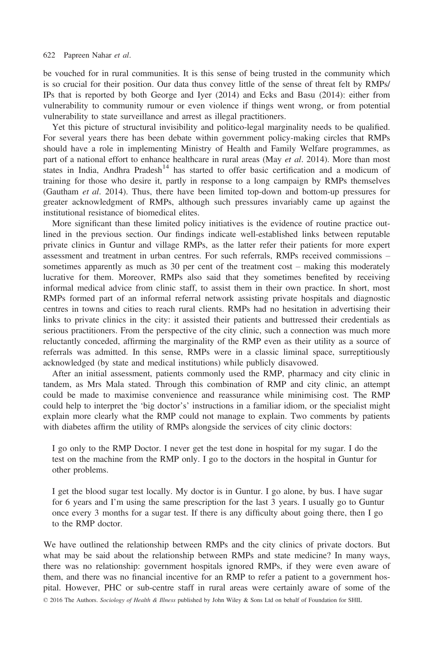be vouched for in rural communities. It is this sense of being trusted in the community which is so crucial for their position. Our data thus convey little of the sense of threat felt by RMPs/ IPs that is reported by both George and Iyer (2014) and Ecks and Basu (2014): either from vulnerability to community rumour or even violence if things went wrong, or from potential vulnerability to state surveillance and arrest as illegal practitioners.

Yet this picture of structural invisibility and politico-legal marginality needs to be qualified. For several years there has been debate within government policy-making circles that RMPs should have a role in implementing Ministry of Health and Family Welfare programmes, as part of a national effort to enhance healthcare in rural areas (May et al. 2014). More than most states in India, Andhra Pradesh<sup>14</sup> has started to offer basic certification and a modicum of training for those who desire it, partly in response to a long campaign by RMPs themselves (Gautham et al. 2014). Thus, there have been limited top-down and bottom-up pressures for greater acknowledgment of RMPs, although such pressures invariably came up against the institutional resistance of biomedical elites.

More significant than these limited policy initiatives is the evidence of routine practice outlined in the previous section. Our findings indicate well-established links between reputable private clinics in Guntur and village RMPs, as the latter refer their patients for more expert assessment and treatment in urban centres. For such referrals, RMPs received commissions – sometimes apparently as much as 30 per cent of the treatment cost – making this moderately lucrative for them. Moreover, RMPs also said that they sometimes benefited by receiving informal medical advice from clinic staff, to assist them in their own practice. In short, most RMPs formed part of an informal referral network assisting private hospitals and diagnostic centres in towns and cities to reach rural clients. RMPs had no hesitation in advertising their links to private clinics in the city: it assisted their patients and buttressed their credentials as serious practitioners. From the perspective of the city clinic, such a connection was much more reluctantly conceded, affirming the marginality of the RMP even as their utility as a source of referrals was admitted. In this sense, RMPs were in a classic liminal space, surreptitiously acknowledged (by state and medical institutions) while publicly disavowed.

After an initial assessment, patients commonly used the RMP, pharmacy and city clinic in tandem, as Mrs Mala stated. Through this combination of RMP and city clinic, an attempt could be made to maximise convenience and reassurance while minimising cost. The RMP could help to interpret the 'big doctor's' instructions in a familiar idiom, or the specialist might explain more clearly what the RMP could not manage to explain. Two comments by patients with diabetes affirm the utility of RMPs alongside the services of city clinic doctors:

I go only to the RMP Doctor. I never get the test done in hospital for my sugar. I do the test on the machine from the RMP only. I go to the doctors in the hospital in Guntur for other problems.

I get the blood sugar test locally. My doctor is in Guntur. I go alone, by bus. I have sugar for 6 years and I'm using the same prescription for the last 3 years. I usually go to Guntur once every 3 months for a sugar test. If there is any difficulty about going there, then I go to the RMP doctor.

We have outlined the relationship between RMPs and the city clinics of private doctors. But what may be said about the relationship between RMPs and state medicine? In many ways, there was no relationship: government hospitals ignored RMPs, if they were even aware of them, and there was no financial incentive for an RMP to refer a patient to a government hospital. However, PHC or sub-centre staff in rural areas were certainly aware of some of the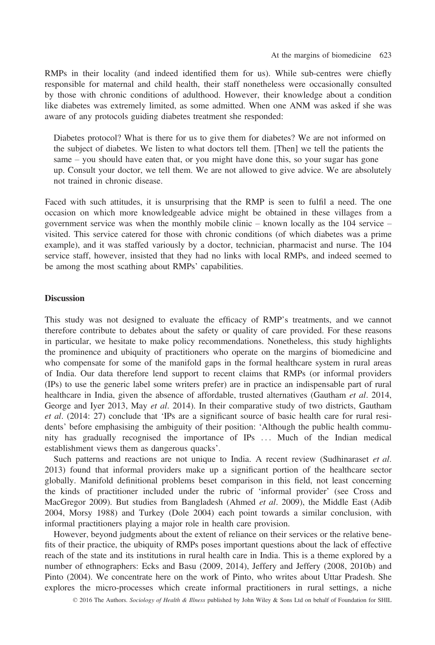RMPs in their locality (and indeed identified them for us). While sub-centres were chiefly responsible for maternal and child health, their staff nonetheless were occasionally consulted by those with chronic conditions of adulthood. However, their knowledge about a condition like diabetes was extremely limited, as some admitted. When one ANM was asked if she was aware of any protocols guiding diabetes treatment she responded:

Diabetes protocol? What is there for us to give them for diabetes? We are not informed on the subject of diabetes. We listen to what doctors tell them. [Then] we tell the patients the same – you should have eaten that, or you might have done this, so your sugar has gone up. Consult your doctor, we tell them. We are not allowed to give advice. We are absolutely not trained in chronic disease.

Faced with such attitudes, it is unsurprising that the RMP is seen to fulfil a need. The one occasion on which more knowledgeable advice might be obtained in these villages from a government service was when the monthly mobile clinic – known locally as the 104 service – visited. This service catered for those with chronic conditions (of which diabetes was a prime example), and it was staffed variously by a doctor, technician, pharmacist and nurse. The 104 service staff, however, insisted that they had no links with local RMPs, and indeed seemed to be among the most scathing about RMPs' capabilities.

#### **Discussion**

This study was not designed to evaluate the efficacy of RMP's treatments, and we cannot therefore contribute to debates about the safety or quality of care provided. For these reasons in particular, we hesitate to make policy recommendations. Nonetheless, this study highlights the prominence and ubiquity of practitioners who operate on the margins of biomedicine and who compensate for some of the manifold gaps in the formal healthcare system in rural areas of India. Our data therefore lend support to recent claims that RMPs (or informal providers (IPs) to use the generic label some writers prefer) are in practice an indispensable part of rural healthcare in India, given the absence of affordable, trusted alternatives (Gautham et al. 2014, George and Iyer 2013, May *et al.* 2014). In their comparative study of two districts, Gautham et al. (2014: 27) conclude that 'IPs are a significant source of basic health care for rural residents' before emphasising the ambiguity of their position: 'Although the public health community has gradually recognised the importance of IPs ... Much of the Indian medical establishment views them as dangerous quacks'.

Such patterns and reactions are not unique to India. A recent review (Sudhinaraset *et al.*) 2013) found that informal providers make up a significant portion of the healthcare sector globally. Manifold definitional problems beset comparison in this field, not least concerning the kinds of practitioner included under the rubric of 'informal provider' (see Cross and MacGregor 2009). But studies from Bangladesh (Ahmed et al. 2009), the Middle East (Adib 2004, Morsy 1988) and Turkey (Dole 2004) each point towards a similar conclusion, with informal practitioners playing a major role in health care provision.

However, beyond judgments about the extent of reliance on their services or the relative benefits of their practice, the ubiquity of RMPs poses important questions about the lack of effective reach of the state and its institutions in rural health care in India. This is a theme explored by a number of ethnographers: Ecks and Basu (2009, 2014), Jeffery and Jeffery (2008, 2010b) and Pinto (2004). We concentrate here on the work of Pinto, who writes about Uttar Pradesh. She explores the micro-processes which create informal practitioners in rural settings, a niche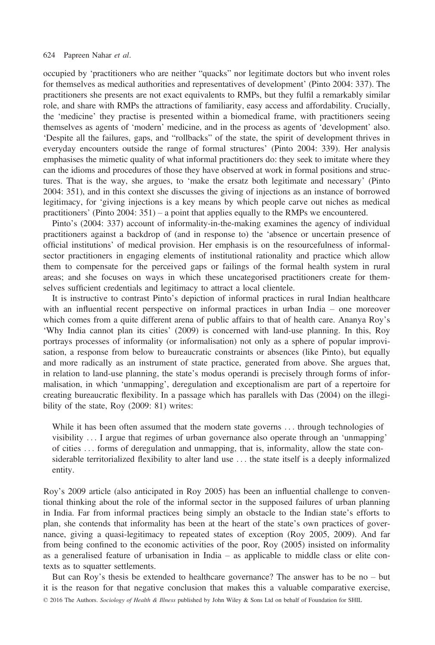#### 624 Papreen Nahar et al.

occupied by 'practitioners who are neither "quacks" nor legitimate doctors but who invent roles for themselves as medical authorities and representatives of development' (Pinto 2004: 337). The practitioners she presents are not exact equivalents to RMPs, but they fulfil a remarkably similar role, and share with RMPs the attractions of familiarity, easy access and affordability. Crucially, the 'medicine' they practise is presented within a biomedical frame, with practitioners seeing themselves as agents of 'modern' medicine, and in the process as agents of 'development' also. 'Despite all the failures, gaps, and "rollbacks" of the state, the spirit of development thrives in everyday encounters outside the range of formal structures' (Pinto 2004: 339). Her analysis emphasises the mimetic quality of what informal practitioners do: they seek to imitate where they can the idioms and procedures of those they have observed at work in formal positions and structures. That is the way, she argues, to 'make the ersatz both legitimate and necessary' (Pinto 2004: 351), and in this context she discusses the giving of injections as an instance of borrowed legitimacy, for 'giving injections is a key means by which people carve out niches as medical practitioners' (Pinto 2004: 351) – a point that applies equally to the RMPs we encountered.

Pinto's (2004: 337) account of informality-in-the-making examines the agency of individual practitioners against a backdrop of (and in response to) the 'absence or uncertain presence of official institutions' of medical provision. Her emphasis is on the resourcefulness of informalsector practitioners in engaging elements of institutional rationality and practice which allow them to compensate for the perceived gaps or failings of the formal health system in rural areas; and she focuses on ways in which these uncategorised practitioners create for themselves sufficient credentials and legitimacy to attract a local clientele.

It is instructive to contrast Pinto's depiction of informal practices in rural Indian healthcare with an influential recent perspective on informal practices in urban India – one moreover which comes from a quite different arena of public affairs to that of health care. Ananya Roy's 'Why India cannot plan its cities' (2009) is concerned with land-use planning. In this, Roy portrays processes of informality (or informalisation) not only as a sphere of popular improvisation, a response from below to bureaucratic constraints or absences (like Pinto), but equally and more radically as an instrument of state practice, generated from above. She argues that, in relation to land-use planning, the state's modus operandi is precisely through forms of informalisation, in which 'unmapping', deregulation and exceptionalism are part of a repertoire for creating bureaucratic flexibility. In a passage which has parallels with Das (2004) on the illegibility of the state, Roy (2009: 81) writes:

While it has been often assumed that the modern state governs ... through technologies of visibility ... I argue that regimes of urban governance also operate through an 'unmapping' of cities ... forms of deregulation and unmapping, that is, informality, allow the state considerable territorialized flexibility to alter land use ... the state itself is a deeply informalized entity.

Roy's 2009 article (also anticipated in Roy 2005) has been an influential challenge to conventional thinking about the role of the informal sector in the supposed failures of urban planning in India. Far from informal practices being simply an obstacle to the Indian state's efforts to plan, she contends that informality has been at the heart of the state's own practices of governance, giving a quasi-legitimacy to repeated states of exception (Roy 2005, 2009). And far from being confined to the economic activities of the poor, Roy (2005) insisted on informality as a generalised feature of urbanisation in India – as applicable to middle class or elite contexts as to squatter settlements.

But can Roy's thesis be extended to healthcare governance? The answer has to be no – but it is the reason for that negative conclusion that makes this a valuable comparative exercise, © 2016 The Authors. Sociology of Health & Illness published by John Wiley & Sons Ltd on behalf of Foundation for SHIL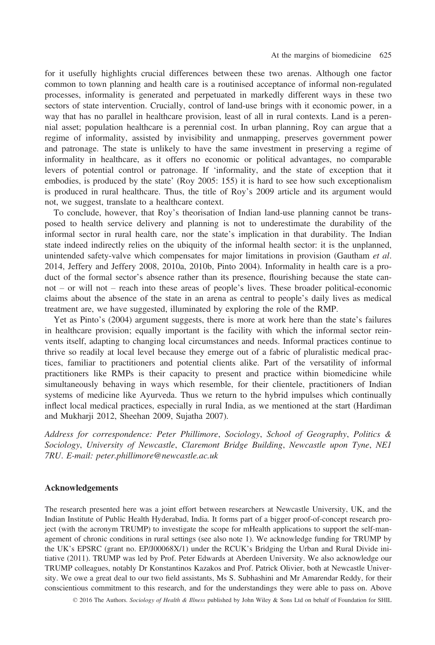for it usefully highlights crucial differences between these two arenas. Although one factor common to town planning and health care is a routinised acceptance of informal non-regulated processes, informality is generated and perpetuated in markedly different ways in these two sectors of state intervention. Crucially, control of land-use brings with it economic power, in a way that has no parallel in healthcare provision, least of all in rural contexts. Land is a perennial asset; population healthcare is a perennial cost. In urban planning, Roy can argue that a regime of informality, assisted by invisibility and unmapping, preserves government power and patronage. The state is unlikely to have the same investment in preserving a regime of informality in healthcare, as it offers no economic or political advantages, no comparable levers of potential control or patronage. If 'informality, and the state of exception that it embodies, is produced by the state' (Roy 2005: 155) it is hard to see how such exceptionalism is produced in rural healthcare. Thus, the title of Roy's 2009 article and its argument would not, we suggest, translate to a healthcare context.

To conclude, however, that Roy's theorisation of Indian land-use planning cannot be transposed to health service delivery and planning is not to underestimate the durability of the informal sector in rural health care, nor the state's implication in that durability. The Indian state indeed indirectly relies on the ubiquity of the informal health sector: it is the unplanned, unintended safety-valve which compensates for major limitations in provision (Gautham et al. 2014, Jeffery and Jeffery 2008, 2010a, 2010b, Pinto 2004). Informality in health care is a product of the formal sector's absence rather than its presence, flourishing because the state cannot – or will not – reach into these areas of people's lives. These broader political-economic claims about the absence of the state in an arena as central to people's daily lives as medical treatment are, we have suggested, illuminated by exploring the role of the RMP.

Yet as Pinto's (2004) argument suggests, there is more at work here than the state's failures in healthcare provision; equally important is the facility with which the informal sector reinvents itself, adapting to changing local circumstances and needs. Informal practices continue to thrive so readily at local level because they emerge out of a fabric of pluralistic medical practices, familiar to practitioners and potential clients alike. Part of the versatility of informal practitioners like RMPs is their capacity to present and practice within biomedicine while simultaneously behaving in ways which resemble, for their clientele, practitioners of Indian systems of medicine like Ayurveda. Thus we return to the hybrid impulses which continually inflect local medical practices, especially in rural India, as we mentioned at the start (Hardiman and Mukharji 2012, Sheehan 2009, Sujatha 2007).

Address for correspondence: Peter Phillimore, Sociology, School of Geography, Politics & Sociology, University of Newcastle, Claremont Bridge Building, Newcastle upon Tyne, NE1 7RU. E-mail: peter.phillimore@newcastle.ac.uk

#### Acknowledgements

The research presented here was a joint effort between researchers at Newcastle University, UK, and the Indian Institute of Public Health Hyderabad, India. It forms part of a bigger proof-of-concept research project (with the acronym TRUMP) to investigate the scope for mHealth applications to support the self-management of chronic conditions in rural settings (see also note 1). We acknowledge funding for TRUMP by the UK's EPSRC (grant no. EP/J00068X/1) under the RCUK's Bridging the Urban and Rural Divide initiative (2011). TRUMP was led by Prof. Peter Edwards at Aberdeen University. We also acknowledge our TRUMP colleagues, notably Dr Konstantinos Kazakos and Prof. Patrick Olivier, both at Newcastle University. We owe a great deal to our two field assistants, Ms S. Subhashini and Mr Amarendar Reddy, for their conscientious commitment to this research, and for the understandings they were able to pass on. Above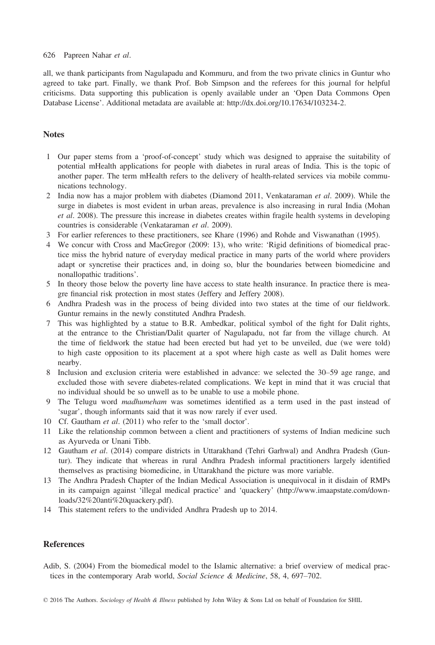#### 626 Papreen Nahar et al.

all, we thank participants from Nagulapadu and Kommuru, and from the two private clinics in Guntur who agreed to take part. Finally, we thank Prof. Bob Simpson and the referees for this journal for helpful criticisms. Data supporting this publication is openly available under an 'Open Data Commons Open Database License'. Additional metadata are available at: [http://dx.doi.org/10.17634/103234-2.](http://dx.doi.org/10.17634/103234-2)

### Notes

- 1 Our paper stems from a 'proof-of-concept' study which was designed to appraise the suitability of potential mHealth applications for people with diabetes in rural areas of India. This is the topic of another paper. The term mHealth refers to the delivery of health-related services via mobile communications technology.
- 2 India now has a major problem with diabetes (Diamond 2011, Venkataraman et al. 2009). While the surge in diabetes is most evident in urban areas, prevalence is also increasing in rural India (Mohan et al. 2008). The pressure this increase in diabetes creates within fragile health systems in developing countries is considerable (Venkataraman et al. 2009).
- 3 For earlier references to these practitioners, see Khare (1996) and Rohde and Viswanathan (1995).
- 4 We concur with Cross and MacGregor (2009: 13), who write: 'Rigid definitions of biomedical practice miss the hybrid nature of everyday medical practice in many parts of the world where providers adapt or syncretise their practices and, in doing so, blur the boundaries between biomedicine and nonallopathic traditions'.
- 5 In theory those below the poverty line have access to state health insurance. In practice there is meagre financial risk protection in most states (Jeffery and Jeffery 2008).
- 6 Andhra Pradesh was in the process of being divided into two states at the time of our fieldwork. Guntur remains in the newly constituted Andhra Pradesh.
- 7 This was highlighted by a statue to B.R. Ambedkar, political symbol of the fight for Dalit rights, at the entrance to the Christian/Dalit quarter of Nagulapadu, not far from the village church. At the time of fieldwork the statue had been erected but had yet to be unveiled, due (we were told) to high caste opposition to its placement at a spot where high caste as well as Dalit homes were nearby.
- 8 Inclusion and exclusion criteria were established in advance: we selected the 30–59 age range, and excluded those with severe diabetes-related complications. We kept in mind that it was crucial that no individual should be so unwell as to be unable to use a mobile phone.
- 9 The Telugu word madhumeham was sometimes identified as a term used in the past instead of 'sugar', though informants said that it was now rarely if ever used.
- 10 Cf. Gautham et al. (2011) who refer to the 'small doctor'.
- 11 Like the relationship common between a client and practitioners of systems of Indian medicine such as Ayurveda or Unani Tibb.
- 12 Gautham et al. (2014) compare districts in Uttarakhand (Tehri Garhwal) and Andhra Pradesh (Guntur). They indicate that whereas in rural Andhra Pradesh informal practitioners largely identified themselves as practising biomedicine, in Uttarakhand the picture was more variable.
- 13 The Andhra Pradesh Chapter of the Indian Medical Association is unequivocal in it disdain of RMPs in its campaign against 'illegal medical practice' and 'quackery' ([http://www.imaapstate.com/down](http://www.imaapstate.com/downloads/32%20anti%20quackery.pdf)[loads/32%20anti%20quackery.pdf](http://www.imaapstate.com/downloads/32%20anti%20quackery.pdf)).
- 14 This statement refers to the undivided Andhra Pradesh up to 2014.

### **References**

Adib, S. (2004) From the biomedical model to the Islamic alternative: a brief overview of medical practices in the contemporary Arab world, Social Science & Medicine, 58, 4, 697–702.

<sup>© 2016</sup> The Authors. Sociology of Health & Illness published by John Wiley & Sons Ltd on behalf of Foundation for SHIL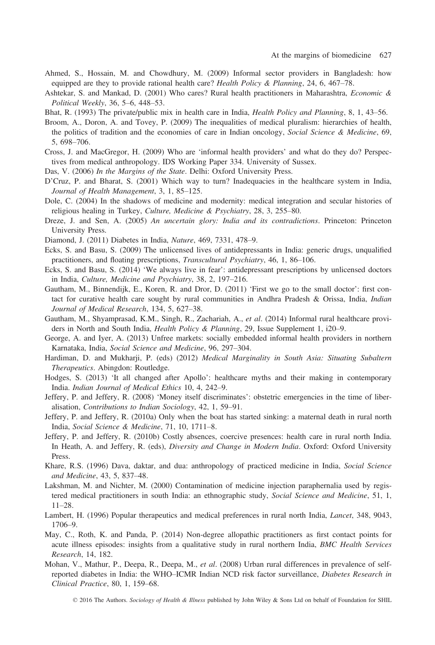- Ahmed, S., Hossain, M. and Chowdhury, M. (2009) Informal sector providers in Bangladesh: how equipped are they to provide rational health care? *Health Policy & Planning*, 24, 6, 467–78.
- Ashtekar, S. and Mankad, D. (2001) Who cares? Rural health practitioners in Maharashtra, Economic & Political Weekly, 36, 5–6, 448–53.
- Bhat, R. (1993) The private/public mix in health care in India, *Health Policy and Planning*, 8, 1, 43–56.
- Broom, A., Doron, A. and Tovey, P. (2009) The inequalities of medical pluralism: hierarchies of health, the politics of tradition and the economies of care in Indian oncology, Social Science & Medicine, 69, 5, 698–706.
- Cross, J. and MacGregor, H. (2009) Who are 'informal health providers' and what do they do? Perspectives from medical anthropology. IDS Working Paper 334. University of Sussex.
- Das, V. (2006) In the Margins of the State. Delhi: Oxford University Press.
- D'Cruz, P. and Bharat, S. (2001) Which way to turn? Inadequacies in the healthcare system in India, Journal of Health Management, 3, 1, 85–125.
- Dole, C. (2004) In the shadows of medicine and modernity: medical integration and secular histories of religious healing in Turkey, Culture, Medicine & Psychiatry, 28, 3, 255-80.
- Dreze, J. and Sen, A. (2005) An uncertain glory: India and its contradictions. Princeton: Princeton University Press.
- Diamond, J. (2011) Diabetes in India, Nature, 469, 7331, 478–9.
- Ecks, S. and Basu, S. (2009) The unlicensed lives of antidepressants in India: generic drugs, unqualified practitioners, and floating prescriptions, Transcultural Psychiatry, 46, 1, 86–106.
- Ecks, S. and Basu, S. (2014) 'We always live in fear': antidepressant prescriptions by unlicensed doctors in India, Culture, Medicine and Psychiatry, 38, 2, 197–216.
- Gautham, M., Binnendijk, E., Koren, R. and Dror, D. (2011) 'First we go to the small doctor': first contact for curative health care sought by rural communities in Andhra Pradesh & Orissa, India, Indian Journal of Medical Research, 134, 5, 627–38.
- Gautham, M., Shyamprasad, K.M., Singh, R., Zachariah, A., et al. (2014) Informal rural healthcare providers in North and South India, Health Policy & Planning, 29, Issue Supplement 1, i20–9.
- George, A. and Iyer, A. (2013) Unfree markets: socially embedded informal health providers in northern Karnataka, India, Social Science and Medicine, 96, 297–304.
- Hardiman, D. and Mukharji, P. (eds) (2012) Medical Marginality in South Asia: Situating Subaltern Therapeutics. Abingdon: Routledge.
- Hodges, S. (2013) 'It all changed after Apollo': healthcare myths and their making in contemporary India. Indian Journal of Medical Ethics 10, 4, 242–9.
- Jeffery, P. and Jeffery, R. (2008) 'Money itself discriminates': obstetric emergencies in the time of liberalisation, Contributions to Indian Sociology, 42, 1, 59–91.
- Jeffery, P. and Jeffery, R. (2010a) Only when the boat has started sinking: a maternal death in rural north India, Social Science & Medicine, 71, 10, 1711–8.
- Jeffery, P. and Jeffery, R. (2010b) Costly absences, coercive presences: health care in rural north India. In Heath, A. and Jeffery, R. (eds), Diversity and Change in Modern India. Oxford: Oxford University Press.
- Khare, R.S. (1996) Dava, daktar, and dua: anthropology of practiced medicine in India, Social Science and Medicine, 43, 5, 837–48.
- Lakshman, M. and Nichter, M. (2000) Contamination of medicine injection paraphernalia used by registered medical practitioners in south India: an ethnographic study, Social Science and Medicine, 51, 1, 11–28.
- Lambert, H. (1996) Popular therapeutics and medical preferences in rural north India, Lancet, 348, 9043, 1706–9.
- May, C., Roth, K. and Panda, P. (2014) Non-degree allopathic practitioners as first contact points for acute illness episodes: insights from a qualitative study in rural northern India, BMC Health Services Research, 14, 182.
- Mohan, V., Mathur, P., Deepa, R., Deepa, M., et al. (2008) Urban rural differences in prevalence of selfreported diabetes in India: the WHO–ICMR Indian NCD risk factor surveillance, Diabetes Research in Clinical Practice, 80, 1, 159–68.